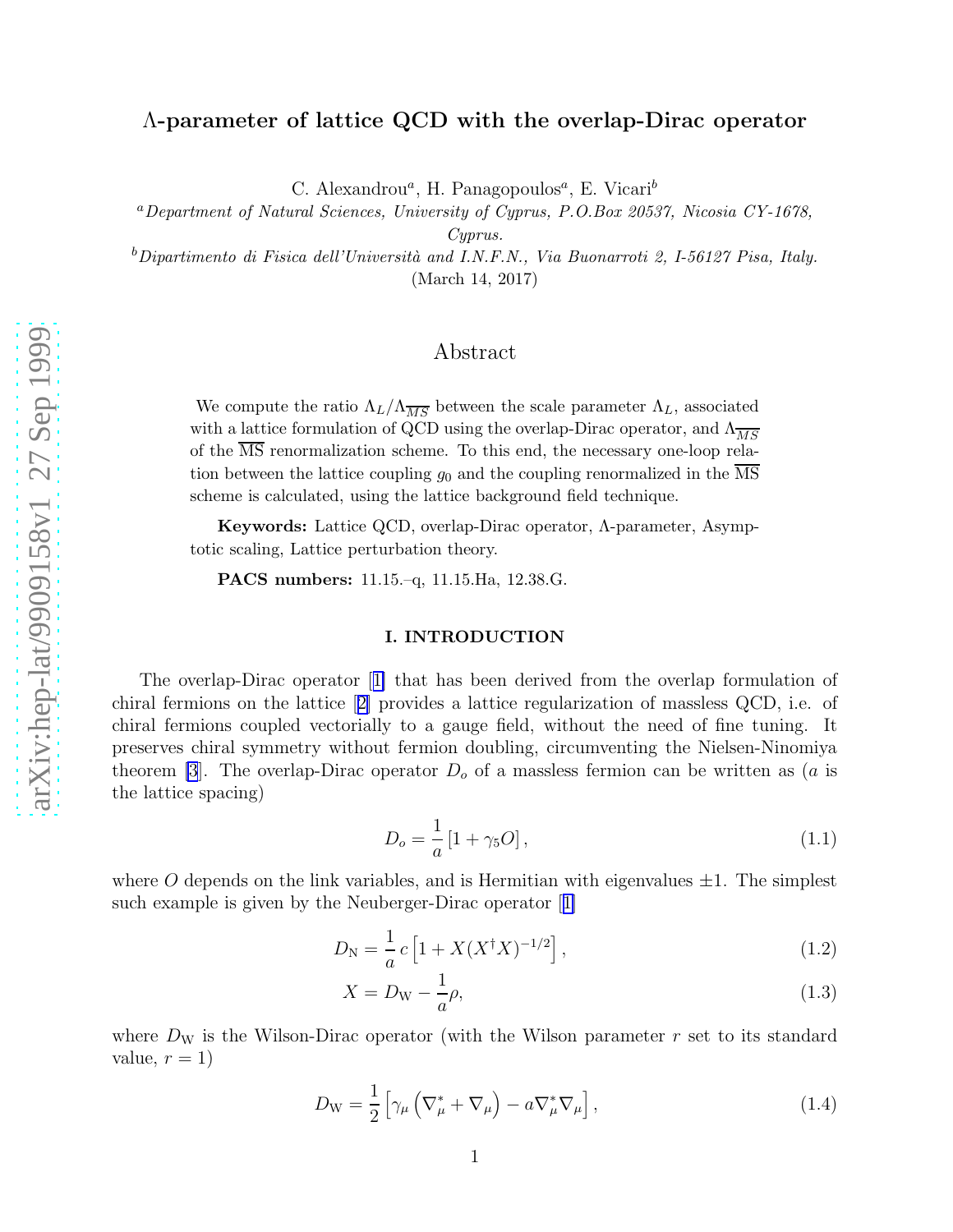# <span id="page-0-0"></span>Λ-parameter of lattice QCD with the overlap-Dirac operator

C. Alexandrou<sup>a</sup>, H. Panagopoulos<sup>a</sup>, E. Vicari<sup>b</sup>

<sup>a</sup>Department of Natural Sciences, University of Cyprus, P.O.Box 20537, Nicosia CY-1678,

Cyprus.

<sup>b</sup>Dipartimento di Fisica dell'Università and I.N.F.N., Via Buonarroti 2, I-56127 Pisa, Italy. (March 14, 2017)

## Abstract

We compute the ratio  $\Lambda_L/\Lambda_{\overline{MS}}$  between the scale parameter  $\Lambda_L$ , associated with a lattice formulation of QCD using the overlap-Dirac operator, and  $\Lambda_{\overline{MS}}$ of the MS renormalization scheme. To this end, the necessary one-loop relation between the lattice coupling  $g_0$  and the coupling renormalized in the MS scheme is calculated, using the lattice background field technique.

Keywords: Lattice QCD, overlap-Dirac operator, Λ-parameter, Asymptotic scaling, Lattice perturbation theory.

PACS numbers: 11.15.–q, 11.15.Ha, 12.38.G.

#### I. INTRODUCTION

The overlap-Dirac operator[[1\]](#page-9-0) that has been derived from the overlap formulation of chiral fermions on the lattice[[2\]](#page-9-0) provides a lattice regularization of massless QCD, i.e. of chiral fermions coupled vectorially to a gauge field, without the need of fine tuning. It preserves chiral symmetry without fermion doubling, circumventing the Nielsen-Ninomiya theorem [\[3](#page-9-0)]. The overlap-Dirac operator  $D<sub>o</sub>$  of a massless fermion can be written as (*a* is the lattice spacing)

$$
D_o = \frac{1}{a} [1 + \gamma_5 O], \qquad (1.1)
$$

where O depends on the link variables, and is Hermitian with eigenvalues  $\pm 1$ . The simplest suchexample is given by the Neuberger-Dirac operator [[1\]](#page-9-0)

$$
D_{\rm N} = \frac{1}{a} c \left[ 1 + X (X^{\dagger} X)^{-1/2} \right], \tag{1.2}
$$

$$
X = D_{\rm W} - \frac{1}{a}\rho,\tag{1.3}
$$

where  $D_W$  is the Wilson-Dirac operator (with the Wilson parameter  $r$  set to its standard value,  $r = 1$ )

$$
D_{\rm W} = \frac{1}{2} \left[ \gamma_{\mu} \left( \nabla_{\mu}^{*} + \nabla_{\mu} \right) - a \nabla_{\mu}^{*} \nabla_{\mu} \right], \qquad (1.4)
$$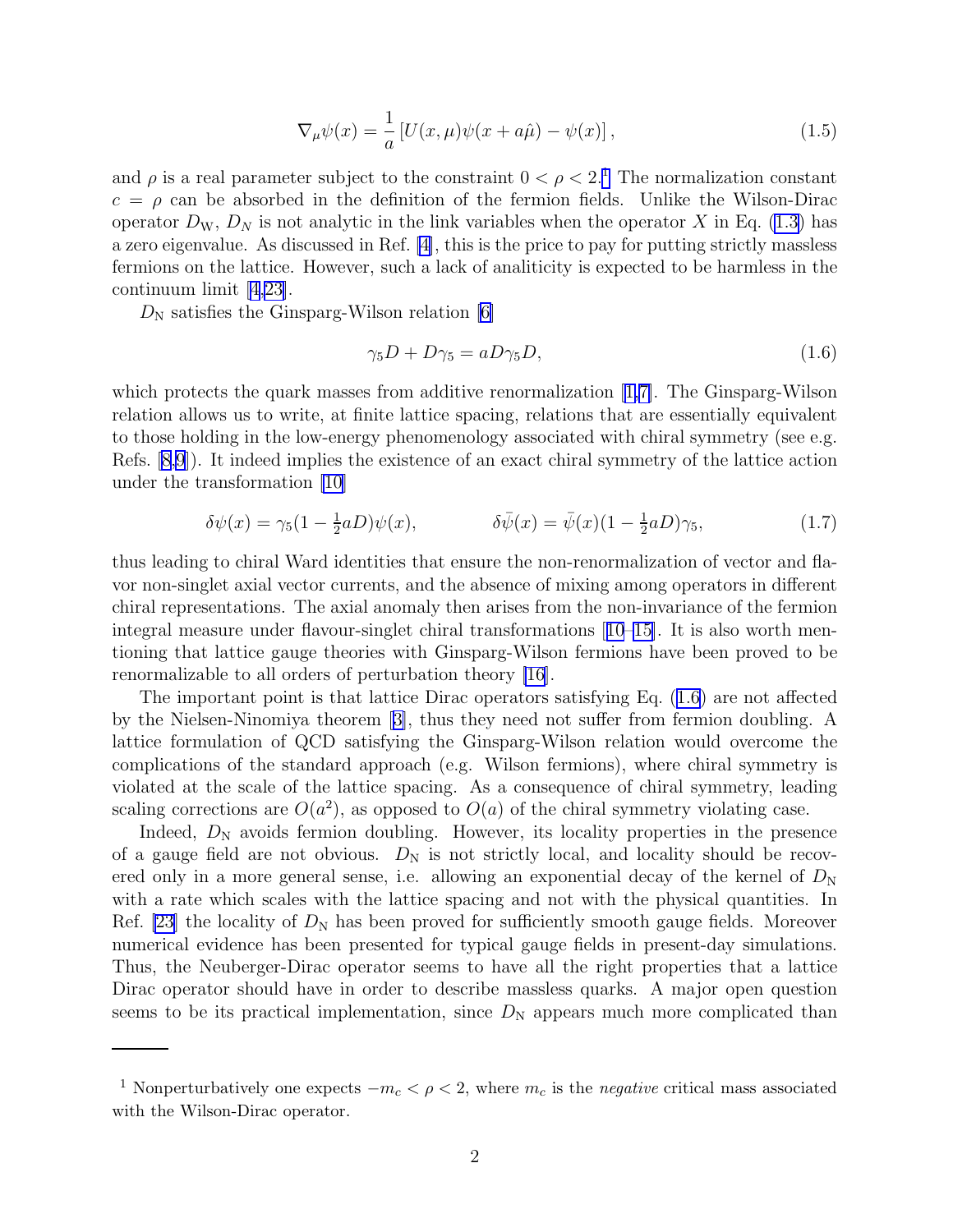$$
\nabla_{\mu}\psi(x) = \frac{1}{a} \left[ U(x,\mu)\psi(x+a\hat{\mu}) - \psi(x) \right],\tag{1.5}
$$

and  $\rho$  is a real parameter subject to the constraint  $0 < \rho < 2$ .<sup>1</sup> The normalization constant  $c = \rho$  can be absorbed in the definition of the fermion fields. Unlike the Wilson-Dirac operator  $D_{\rm W}$ ,  $D_{\rm N}$  is not analytic in the link variables when the operator X in Eq. [\(1.3](#page-0-0)) has a zero eigenvalue. As discussed in Ref. [\[4\]](#page-9-0), this is the price to pay for putting strictly massless fermions on the lattice. However, such a lack of analiticity is expected to be harmless in the continuum limit [\[4,23\]](#page-9-0).

 $D_N$  satisfies the Ginsparg-Wilson relation [\[6\]](#page-9-0)

$$
\gamma_5 D + D \gamma_5 = a D \gamma_5 D,\tag{1.6}
$$

which protects the quark masses from additive renormalization[[1,7\]](#page-9-0). The Ginsparg-Wilson relation allows us to write, at finite lattice spacing, relations that are essentially equivalent to those holding in the low-energy phenomenology associated with chiral symmetry (see e.g. Refs. [\[8,9](#page-9-0)]). It indeed implies the existence of an exact chiral symmetry of the lattice action under the transformation [\[10](#page-9-0)]

$$
\delta\psi(x) = \gamma_5(1 - \frac{1}{2}aD)\psi(x), \qquad \qquad \delta\bar{\psi}(x) = \bar{\psi}(x)(1 - \frac{1}{2}aD)\gamma_5,\tag{1.7}
$$

thus leading to chiral Ward identities that ensure the non-renormalization of vector and flavor non-singlet axial vector currents, and the absence of mixing among operators in different chiral representations. The axial anomaly then arises from the non-invariance of the fermion integral measure under flavour-singlet chiral transformations[[10–15](#page-9-0)]. It is also worth mentioning that lattice gauge theories with Ginsparg-Wilson fermions have been proved to be renormalizable to all orders of perturbation theory [\[16](#page-9-0)].

The important point is that lattice Dirac operators satisfying Eq. (1.6) are not affected by the Nielsen-Ninomiya theorem[[3\]](#page-9-0), thus they need not suffer from fermion doubling. A lattice formulation of QCD satisfying the Ginsparg-Wilson relation would overcome the complications of the standard approach (e.g. Wilson fermions), where chiral symmetry is violated at the scale of the lattice spacing. As a consequence of chiral symmetry, leading scaling corrections are  $O(a^2)$ , as opposed to  $O(a)$  of the chiral symmetry violating case.

Indeed,  $D_N$  avoids fermion doubling. However, its locality properties in the presence of a gauge field are not obvious.  $D_N$  is not strictly local, and locality should be recovered only in a more general sense, i.e. allowing an exponential decay of the kernel of  $D<sub>N</sub>$ with a rate which scales with the lattice spacing and not with the physical quantities. In Ref. [\[23\]](#page-9-0) the locality of  $D_N$  has been proved for sufficiently smooth gauge fields. Moreover numerical evidence has been presented for typical gauge fields in present-day simulations. Thus, the Neuberger-Dirac operator seems to have all the right properties that a lattice Dirac operator should have in order to describe massless quarks. A major open question seems to be its practical implementation, since  $D_N$  appears much more complicated than

<sup>&</sup>lt;sup>1</sup> Nonperturbatively one expects  $-m_c < \rho < 2$ , where  $m_c$  is the *negative* critical mass associated with the Wilson-Dirac operator.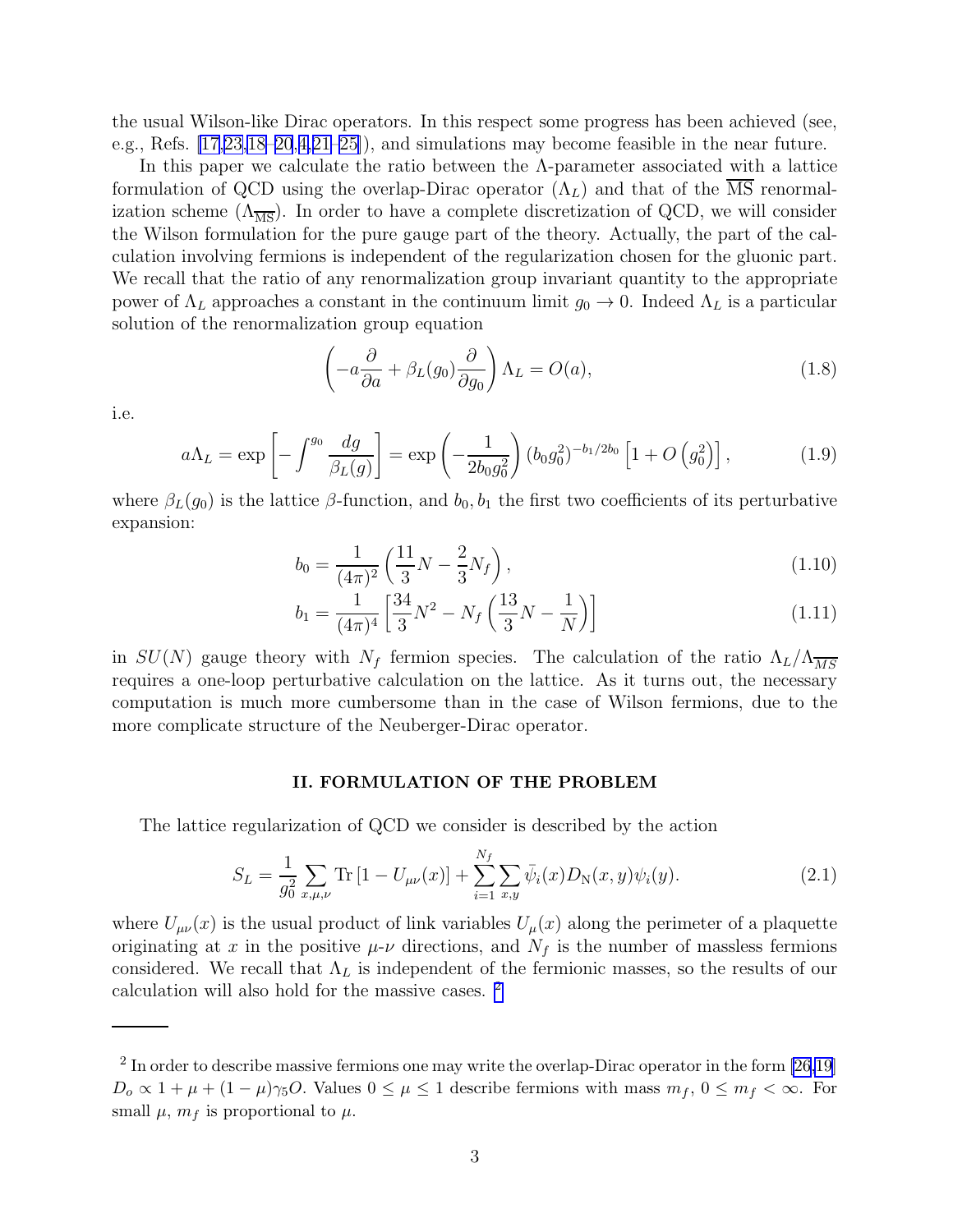the usual Wilson-like Dirac operators. In this respect some progress has been achieved (see, e.g., Refs. [\[17,23,18–20](#page-9-0),[4,21–25](#page-9-0)]), and simulations may become feasible in the near future.

In this paper we calculate the ratio between the  $\Lambda$ -parameter associated with a lattice formulation of QCD using the overlap-Dirac operator  $(\Lambda_L)$  and that of the  $\overline{\text{MS}}$  renormalization scheme  $(\Lambda_{\overline{MS}})$ . In order to have a complete discretization of QCD, we will consider the Wilson formulation for the pure gauge part of the theory. Actually, the part of the calculation involving fermions is independent of the regularization chosen for the gluonic part. We recall that the ratio of any renormalization group invariant quantity to the appropriate power of  $\Lambda_L$  approaches a constant in the continuum limit  $g_0 \to 0$ . Indeed  $\Lambda_L$  is a particular solution of the renormalization group equation

$$
\left(-a\frac{\partial}{\partial a} + \beta_L(g_0)\frac{\partial}{\partial g_0}\right)\Lambda_L = O(a),\tag{1.8}
$$

i.e.

$$
a\Lambda_L = \exp\left[-\int^{g_0} \frac{dg}{\beta_L(g)}\right] = \exp\left(-\frac{1}{2b_0g_0^2}\right) (b_0g_0^2)^{-b_1/2b_0} \left[1 + O\left(g_0^2\right)\right],\tag{1.9}
$$

where  $\beta_L(g_0)$  is the lattice  $\beta$ -function, and  $b_0, b_1$  the first two coefficients of its perturbative expansion:

$$
b_0 = \frac{1}{(4\pi)^2} \left(\frac{11}{3}N - \frac{2}{3}N_f\right),\tag{1.10}
$$

$$
b_1 = \frac{1}{(4\pi)^4} \left[ \frac{34}{3} N^2 - N_f \left( \frac{13}{3} N - \frac{1}{N} \right) \right]
$$
 (1.11)

in  $SU(N)$  gauge theory with  $N_f$  fermion species. The calculation of the ratio  $\Lambda_L/\Lambda_{\overline{MS}}$ requires a one-loop perturbative calculation on the lattice. As it turns out, the necessary computation is much more cumbersome than in the case of Wilson fermions, due to the more complicate structure of the Neuberger-Dirac operator.

#### II. FORMULATION OF THE PROBLEM

The lattice regularization of QCD we consider is described by the action

$$
S_L = \frac{1}{g_0^2} \sum_{x,\mu,\nu} \text{Tr} \left[ 1 - U_{\mu\nu}(x) \right] + \sum_{i=1}^{N_f} \sum_{x,y} \bar{\psi}_i(x) D_N(x,y) \psi_i(y). \tag{2.1}
$$

where  $U_{\mu\nu}(x)$  is the usual product of link variables  $U_{\mu}(x)$  along the perimeter of a plaquette originating at x in the positive  $\mu$ - $\nu$  directions, and  $N_f$  is the number of massless fermions considered. We recall that  $\Lambda_L$  is independent of the fermionic masses, so the results of our calculation will also hold for the massive cases. <sup>2</sup>

<sup>&</sup>lt;sup>2</sup> In order to describe massive fermions one may write the overlap-Dirac operator in the form  $[26,19]$  $D_0 \propto 1 + \mu + (1 - \mu)\gamma_5 O$ . Values  $0 \le \mu \le 1$  describe fermions with mass  $m_f$ ,  $0 \le m_f < \infty$ . For small  $\mu$ ,  $m_f$  is proportional to  $\mu$ .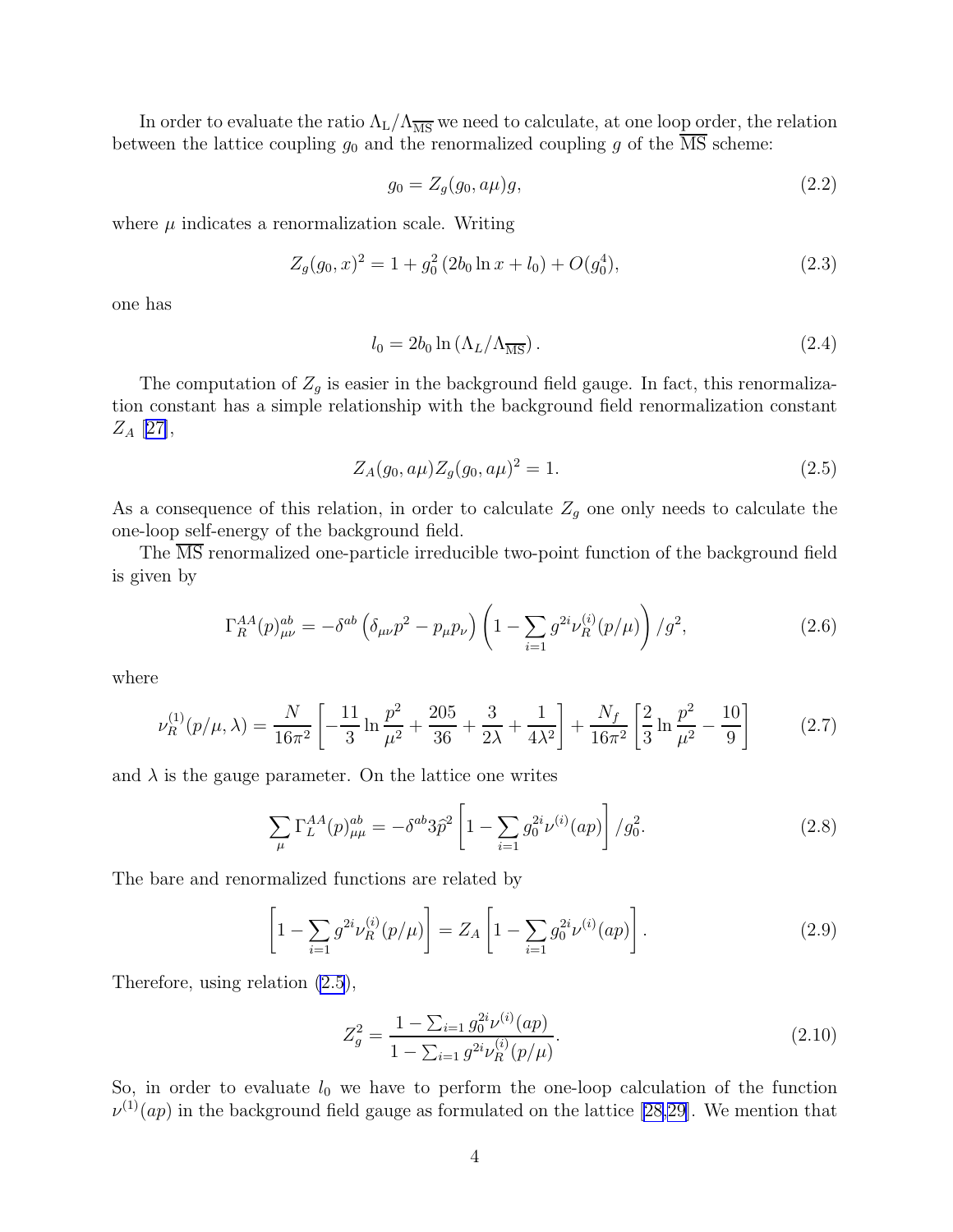<span id="page-3-0"></span>In order to evaluate the ratio  $\Lambda_L/\Lambda_{\overline{MS}}$  we need to calculate, at one loop order, the relation between the lattice coupling  $g_0$  and the renormalized coupling g of the  $\overline{\text{MS}}$  scheme:

$$
g_0 = Z_g(g_0, a\mu)g,\t\t(2.2)
$$

where  $\mu$  indicates a renormalization scale. Writing

$$
Z_g(g_0, x)^2 = 1 + g_0^2 (2b_0 \ln x + l_0) + O(g_0^4),
$$
\n(2.3)

one has

$$
l_0 = 2b_0 \ln \left(\Lambda_L/\Lambda_{\overline{\text{MS}}}\right). \tag{2.4}
$$

The computation of  $Z_g$  is easier in the background field gauge. In fact, this renormalization constant has a simple relationship with the background field renormalization constant  $Z_A$  [[27\]](#page-9-0),

$$
Z_A(g_0, a\mu)Z_g(g_0, a\mu)^2 = 1.
$$
\n(2.5)

As a consequence of this relation, in order to calculate  $Z_g$  one only needs to calculate the one-loop self-energy of the background field.

The MS renormalized one-particle irreducible two-point function of the background field is given by

$$
\Gamma_R^{AA}(p)_{\mu\nu}^{ab} = -\delta^{ab} \left( \delta_{\mu\nu} p^2 - p_\mu p_\nu \right) \left( 1 - \sum_{i=1} g^{2i} \nu_R^{(i)}(p/\mu) \right) / g^2, \tag{2.6}
$$

where

$$
\nu_R^{(1)}(p/\mu,\lambda) = \frac{N}{16\pi^2} \left[ -\frac{11}{3} \ln \frac{p^2}{\mu^2} + \frac{205}{36} + \frac{3}{2\lambda} + \frac{1}{4\lambda^2} \right] + \frac{N_f}{16\pi^2} \left[ \frac{2}{3} \ln \frac{p^2}{\mu^2} - \frac{10}{9} \right] \tag{2.7}
$$

and  $\lambda$  is the gauge parameter. On the lattice one writes

$$
\sum_{\mu} \Gamma_L^{AA}(p)_{\mu\mu}^{ab} = -\delta^{ab} 3\hat{p}^2 \left[ 1 - \sum_{i=1} g_0^{2i} \nu^{(i)}(ap) \right] / g_0^2.
$$
 (2.8)

The bare and renormalized functions are related by

$$
\left[1 - \sum_{i=1} g^{2i} \nu_R^{(i)}(p/\mu)\right] = Z_A \left[1 - \sum_{i=1} g_0^{2i} \nu^{(i)}(ap)\right].
$$
\n(2.9)

Therefore, using relation (2.5),

$$
Z_g^2 = \frac{1 - \sum_{i=1} g_0^{2i} \nu^{(i)}(ap)}{1 - \sum_{i=1} g^{2i} \nu_R^{(i)}(p/\mu)}.
$$
\n(2.10)

So, in order to evaluate  $l_0$  we have to perform the one-loop calculation of the function  $\nu^{(1)}(ap)$  in the background field gauge as formulated on the lattice [\[28,29\]](#page-9-0). We mention that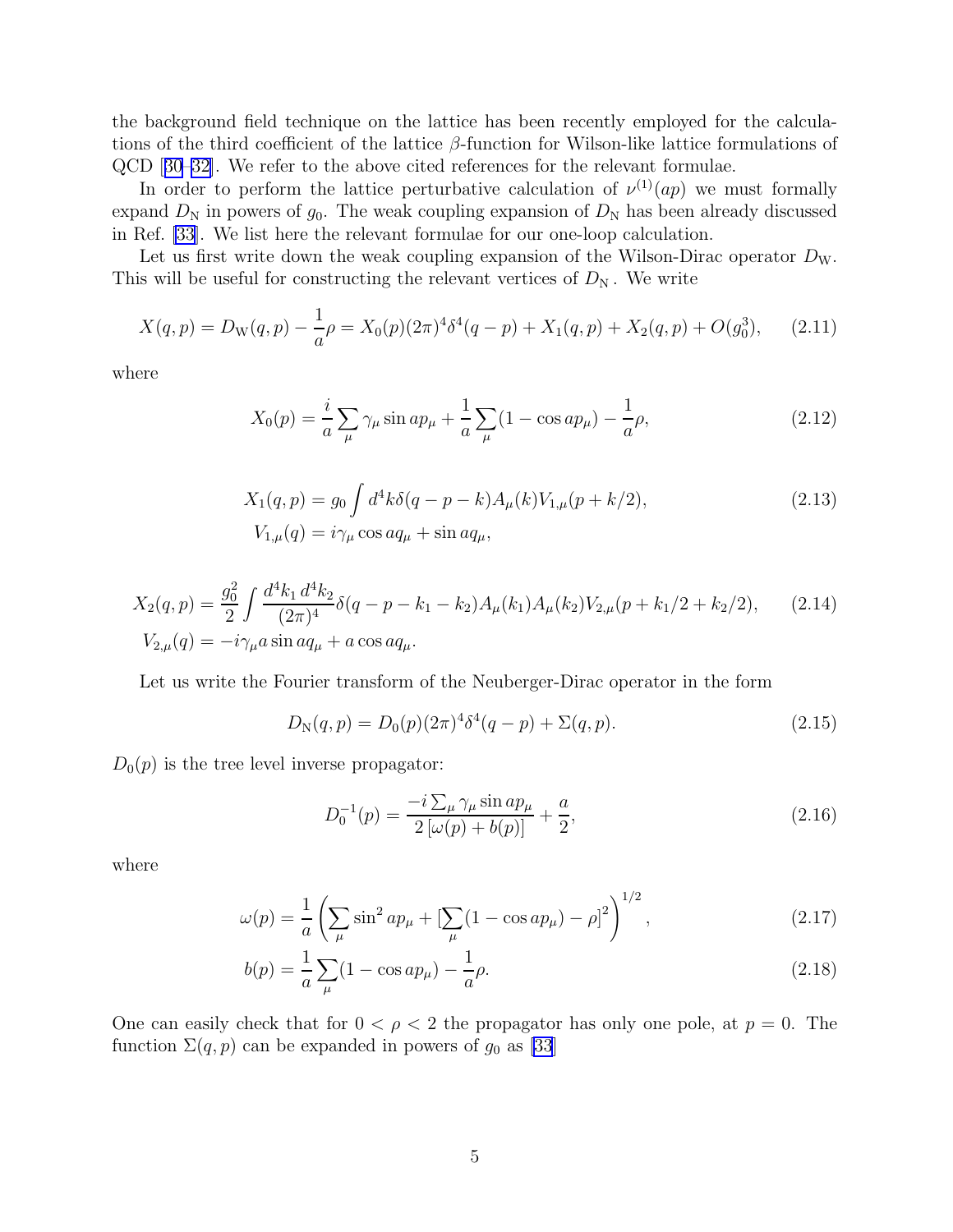the background field technique on the lattice has been recently employed for the calculations of the third coefficient of the lattice  $\beta$ -function for Wilson-like lattice formulations of QCD[[30](#page-9-0)[–32](#page-10-0)]. We refer to the above cited references for the relevant formulae.

In order to perform the lattice perturbative calculation of  $\nu^{(1)}(ap)$  we must formally expand  $D_N$  in powers of  $g_0$ . The weak coupling expansion of  $D_N$  has been already discussed in Ref. [\[33](#page-10-0)]. We list here the relevant formulae for our one-loop calculation.

Let us first write down the weak coupling expansion of the Wilson-Dirac operator  $D_W$ . This will be useful for constructing the relevant vertices of  $D_N$ . We write

$$
X(q,p) = D_{\mathcal{W}}(q,p) - \frac{1}{a}\rho = X_0(p)(2\pi)^4 \delta^4(q-p) + X_1(q,p) + X_2(q,p) + O(g_0^3), \quad (2.11)
$$

where

$$
X_0(p) = \frac{i}{a} \sum_{\mu} \gamma_{\mu} \sin a p_{\mu} + \frac{1}{a} \sum_{\mu} (1 - \cos a p_{\mu}) - \frac{1}{a} \rho,
$$
 (2.12)

$$
X_1(q, p) = g_0 \int d^4k \delta(q - p - k) A_\mu(k) V_{1,\mu}(p + k/2),
$$
  
\n
$$
V_{1,\mu}(q) = i \gamma_\mu \cos a q_\mu + \sin a q_\mu,
$$
\n(2.13)

$$
X_2(q,p) = \frac{g_0^2}{2} \int \frac{d^4 k_1 d^4 k_2}{(2\pi)^4} \delta(q-p-k_1-k_2) A_\mu(k_1) A_\mu(k_2) V_{2,\mu}(p+k_1/2+k_2/2), \qquad (2.14)
$$
  
\n
$$
V_{2,\mu}(q) = -i\gamma_\mu a \sin a q_\mu + a \cos a q_\mu.
$$

Let us write the Fourier transform of the Neuberger-Dirac operator in the form

$$
D_{\rm N}(q, p) = D_0(p)(2\pi)^4 \delta^4(q - p) + \Sigma(q, p). \tag{2.15}
$$

 $D_0(p)$  is the tree level inverse propagator:

$$
D_0^{-1}(p) = \frac{-i\sum_{\mu}\gamma_{\mu}\sin ap_{\mu}}{2\left[\omega(p) + b(p)\right]} + \frac{a}{2},\tag{2.16}
$$

where

$$
\omega(p) = \frac{1}{a} \left( \sum_{\mu} \sin^2 ap_{\mu} + \left[ \sum_{\mu} (1 - \cos ap_{\mu}) - \rho \right]^2 \right)^{1/2}, \tag{2.17}
$$

$$
b(p) = \frac{1}{a} \sum_{\mu} (1 - \cos ap_{\mu}) - \frac{1}{a} \rho.
$$
 (2.18)

One can easily check that for  $0 < \rho < 2$  the propagator has only one pole, at  $p = 0$ . The function  $\Sigma(q, p)$  can be expanded in powers of  $g_0$  as [\[33](#page-10-0)]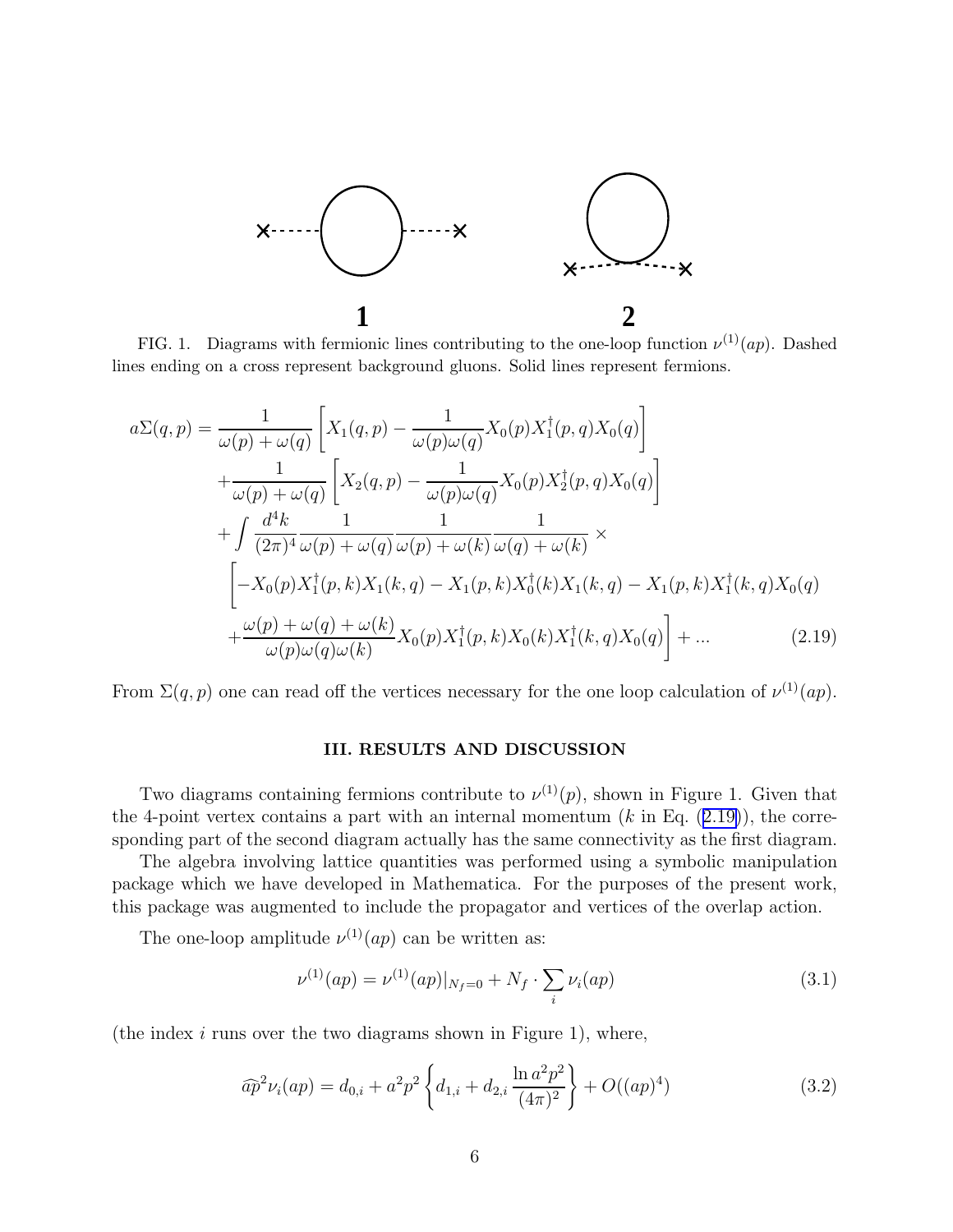

FIG. 1. Diagrams with fermionic lines contributing to the one-loop function  $\nu^{(1)}(ap)$ . Dashed lines ending on a cross represent background gluons. Solid lines represent fermions.

$$
a\Sigma(q,p) = \frac{1}{\omega(p) + \omega(q)} \left[ X_1(q,p) - \frac{1}{\omega(p)\omega(q)} X_0(p) X_1^{\dagger}(p,q) X_0(q) \right] + \frac{1}{\omega(p) + \omega(q)} \left[ X_2(q,p) - \frac{1}{\omega(p)\omega(q)} X_0(p) X_2^{\dagger}(p,q) X_0(q) \right] + \int \frac{d^4k}{(2\pi)^4} \frac{1}{\omega(p) + \omega(q)} \frac{1}{\omega(p) + \omega(k)} \frac{1}{\omega(q) + \omega(k)} \times - X_0(p) X_1^{\dagger}(p,k) X_1(k,q) - X_1(p,k) X_0^{\dagger}(k) X_1(k,q) - X_1(p,k) X_1^{\dagger}(k,q) X_0(q) + \frac{\omega(p) + \omega(q) + \omega(k)}{\omega(p)\omega(q)\omega(k)} X_0(p) X_1^{\dagger}(p,k) X_0(k) X_1^{\dagger}(k,q) X_0(q) \right] + ... \qquad (2.19)
$$

From  $\Sigma(q, p)$  one can read off the vertices necessary for the one loop calculation of  $\nu^{(1)}(ap)$ .

### III. RESULTS AND DISCUSSION

Two diagrams containing fermions contribute to  $\nu^{(1)}(p)$ , shown in Figure 1. Given that the 4-point vertex contains a part with an internal momentum  $(k$  in Eq.  $(2.19)$ ), the corresponding part of the second diagram actually has the same connectivity as the first diagram.

The algebra involving lattice quantities was performed using a symbolic manipulation package which we have developed in Mathematica. For the purposes of the present work, this package was augmented to include the propagator and vertices of the overlap action.

The one-loop amplitude  $\nu^{(1)}(ap)$  can be written as:

$$
\nu^{(1)}(ap) = \nu^{(1)}(ap)|_{N_f=0} + N_f \cdot \sum_i \nu_i(ap) \tag{3.1}
$$

(the index  $i$  runs over the two diagrams shown in Figure 1), where,

$$
\widehat{ap}^2 \nu_i(ap) = d_{0,i} + a^2 p^2 \left\{ d_{1,i} + d_{2,i} \frac{\ln a^2 p^2}{(4\pi)^2} \right\} + O((ap)^4)
$$
\n(3.2)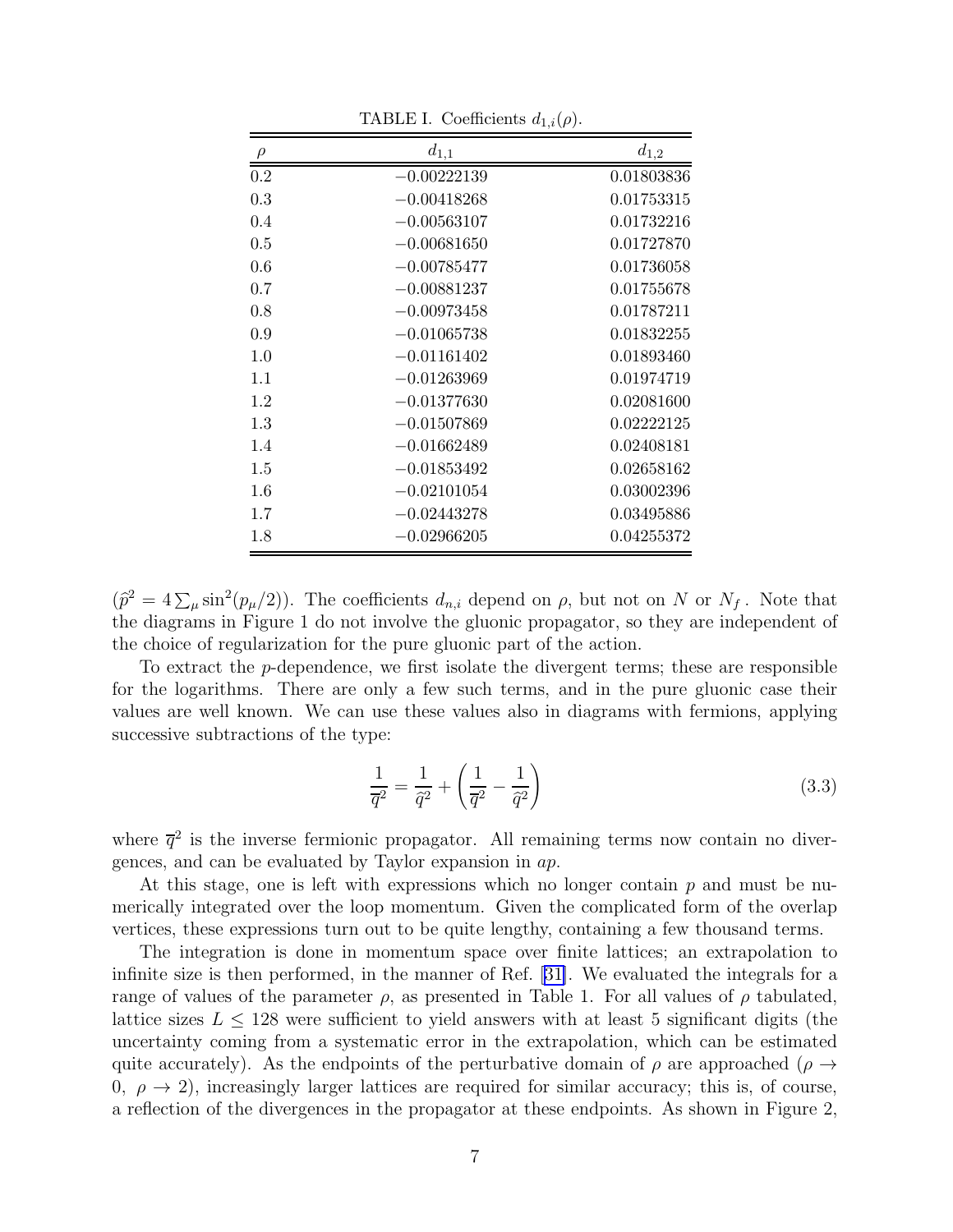|     | $d_{1,1}$     | $d_{1,2}$  |
|-----|---------------|------------|
| 0.2 | $-0.00222139$ | 0.01803836 |
| 0.3 | $-0.00418268$ | 0.01753315 |
| 0.4 | $-0.00563107$ | 0.01732216 |
| 0.5 | $-0.00681650$ | 0.01727870 |
| 0.6 | $-0.00785477$ | 0.01736058 |
| 0.7 | $-0.00881237$ | 0.01755678 |
| 0.8 | $-0.00973458$ | 0.01787211 |
| 0.9 | $-0.01065738$ | 0.01832255 |
| 1.0 | $-0.01161402$ | 0.01893460 |
| 1.1 | $-0.01263969$ | 0.01974719 |
| 1.2 | $-0.01377630$ | 0.02081600 |
| 1.3 | $-0.01507869$ | 0.02222125 |
| 1.4 | $-0.01662489$ | 0.02408181 |
| 1.5 | $-0.01853492$ | 0.02658162 |
| 1.6 | $-0.02101054$ | 0.03002396 |
| 1.7 | $-0.02443278$ | 0.03495886 |
| 1.8 | $-0.02966205$ | 0.04255372 |

TABLE I. Coefficients  $d_{1,i}(\rho)$ .

 $(\hat{p}^2 = 4 \sum_{\mu} \sin^2(p_{\mu}/2))$ . The coefficients  $d_{n,i}$  depend on  $\rho$ , but not on N or  $N_f$ . Note that the diagrams in Figure 1 do not involve the gluonic propagator, so they are independent of the choice of regularization for the pure gluonic part of the action.

To extract the p-dependence, we first isolate the divergent terms; these are responsible for the logarithms. There are only a few such terms, and in the pure gluonic case their values are well known. We can use these values also in diagrams with fermions, applying successive subtractions of the type:

$$
\frac{1}{\overline{q}^2} = \frac{1}{\hat{q}^2} + \left(\frac{1}{\overline{q}^2} - \frac{1}{\hat{q}^2}\right)
$$
\n(3.3)

where  $\bar{q}^2$  is the inverse fermionic propagator. All remaining terms now contain no divergences, and can be evaluated by Taylor expansion in ap.

At this stage, one is left with expressions which no longer contain  $p$  and must be numerically integrated over the loop momentum. Given the complicated form of the overlap vertices, these expressions turn out to be quite lengthy, containing a few thousand terms.

The integration is done in momentum space over finite lattices; an extrapolation to infinite size is then performed, in the manner of Ref. [\[31\]](#page-9-0). We evaluated the integrals for a range of values of the parameter  $\rho$ , as presented in Table 1. For all values of  $\rho$  tabulated, lattice sizes  $L \leq 128$  were sufficient to yield answers with at least 5 significant digits (the uncertainty coming from a systematic error in the extrapolation, which can be estimated quite accurately). As the endpoints of the perturbative domain of  $\rho$  are approached ( $\rho \rightarrow$ 0,  $\rho \rightarrow 2$ ), increasingly larger lattices are required for similar accuracy; this is, of course, a reflection of the divergences in the propagator at these endpoints. As shown in Figure 2,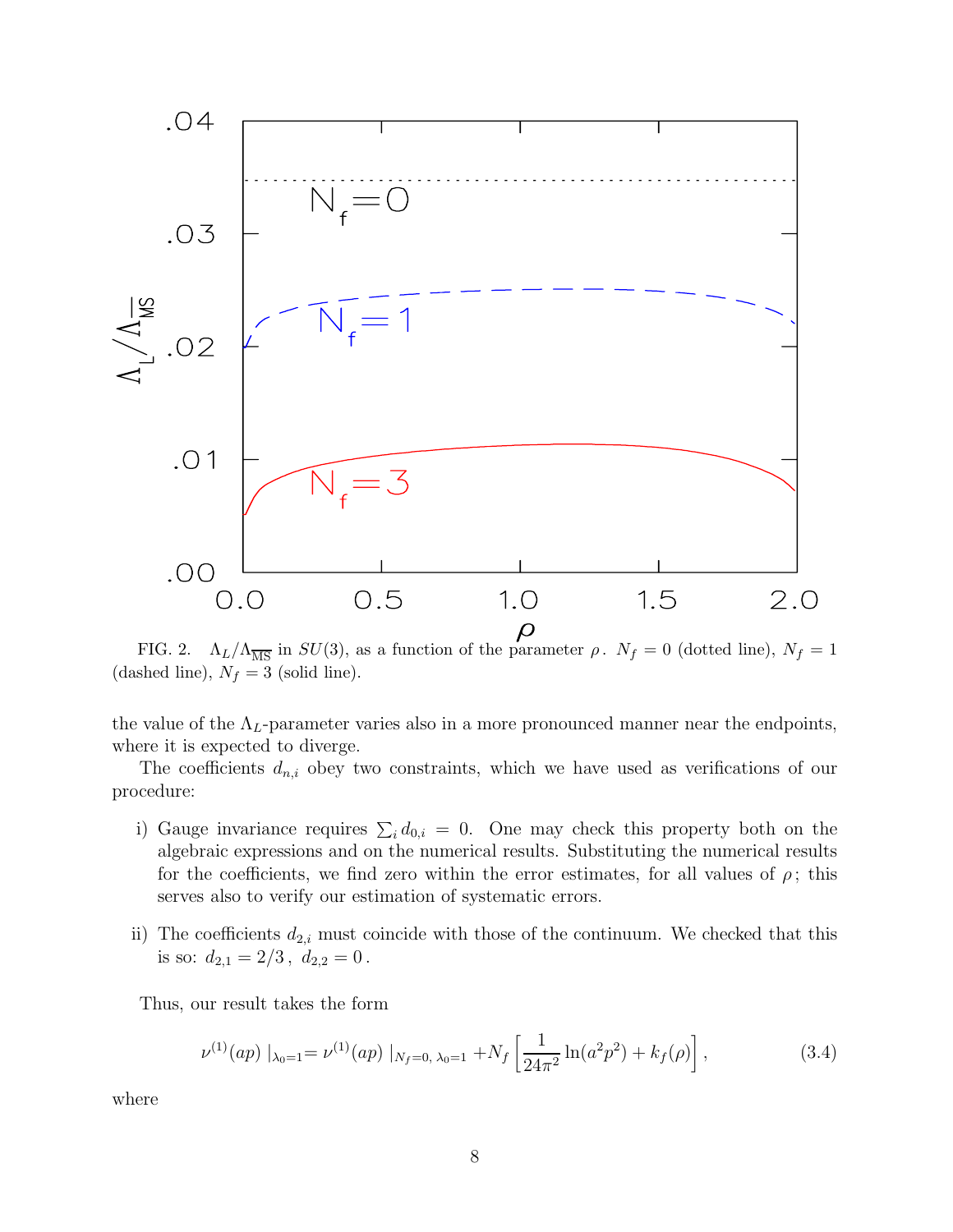<span id="page-7-0"></span>

FIG. 2.  $\Lambda_L/\Lambda_{\overline{\rm MS}}$  in  $SU(3)$ , as a function of the parameter  $\rho$ .  $N_f = 0$  (dotted line),  $N_f = 1$ (dashed line),  $N_f = 3$  (solid line).

the value of the  $\Lambda_L$ -parameter varies also in a more pronounced manner near the endpoints, where it is expected to diverge.

The coefficients  $d_{n,i}$  obey two constraints, which we have used as verifications of our procedure:

- i) Gauge invariance requires  $\sum_i d_{0,i} = 0$ . One may check this property both on the algebraic expressions and on the numerical results. Substituting the numerical results for the coefficients, we find zero within the error estimates, for all values of  $\rho$ ; this serves also to verify our estimation of systematic errors.
- ii) The coefficients  $d_{2,i}$  must coincide with those of the continuum. We checked that this is so:  $d_{2,1} = 2/3$ ,  $d_{2,2} = 0$ .

Thus, our result takes the form

$$
\nu^{(1)}(ap) \mid_{\lambda_0=1} = \nu^{(1)}(ap) \mid_{N_f=0, \lambda_0=1} + N_f \left[ \frac{1}{24\pi^2} \ln(a^2 p^2) + k_f(\rho) \right],\tag{3.4}
$$

where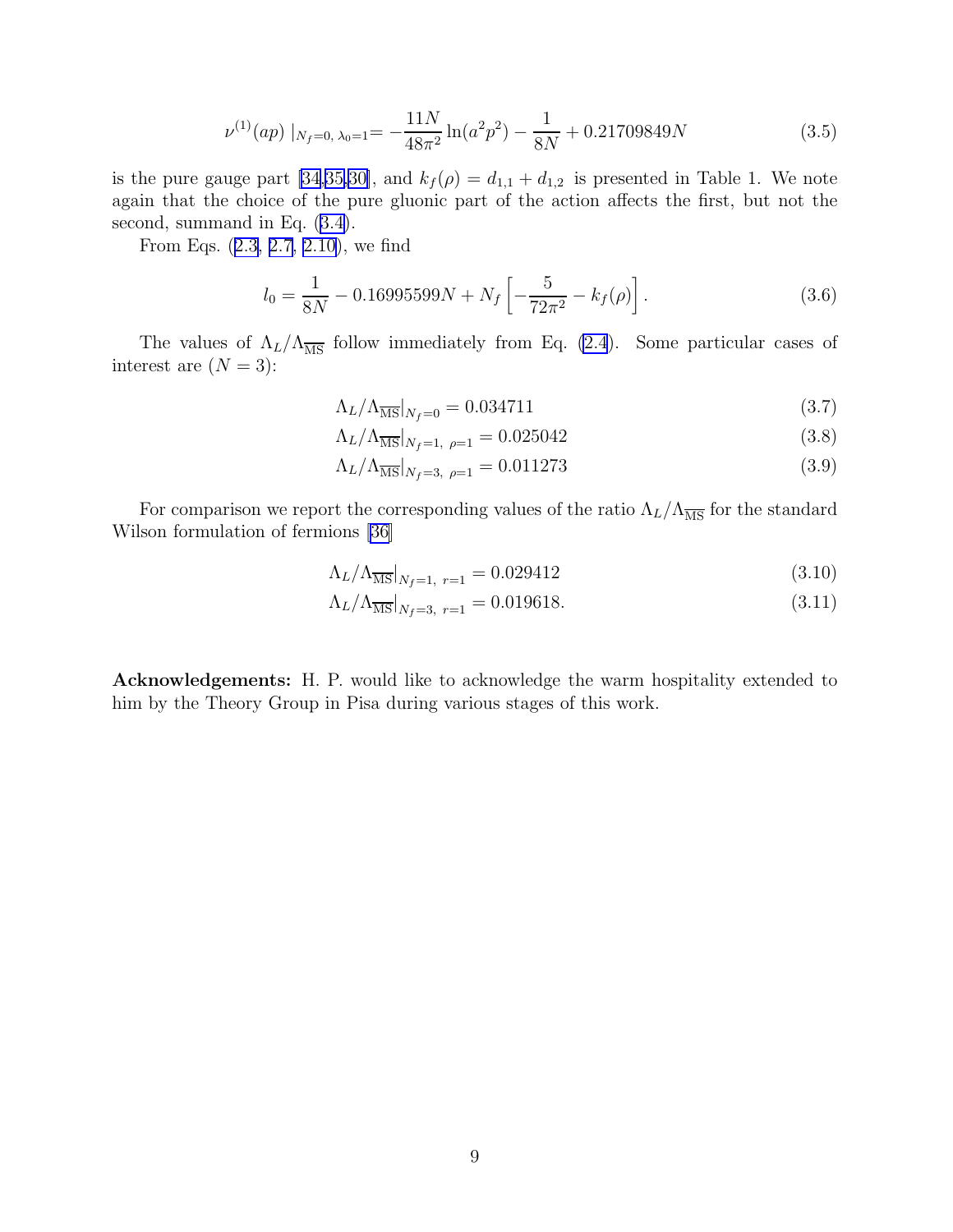$$
\nu^{(1)}(ap) \mid_{N_f=0, \lambda_0=1} = -\frac{11N}{48\pi^2} \ln(a^2 p^2) - \frac{1}{8N} + 0.21709849N \tag{3.5}
$$

is the pure gauge part [\[34,35,](#page-10-0)[30\]](#page-9-0), and  $k_f(\rho) = d_{1,1} + d_{1,2}$  is presented in Table 1. We note again that the choice of the pure gluonic part of the action affects the first, but not the second, summand in Eq.([3.4\)](#page-7-0).

From Eqs.([2.3, 2.7, 2.10\)](#page-3-0), we find

$$
l_0 = \frac{1}{8N} - 0.16995599N + N_f \left[ -\frac{5}{72\pi^2} - k_f(\rho) \right].
$$
 (3.6)

The values of  $\Lambda_L/\Lambda_{\overline{\rm MS}}$  follow immediately from Eq. [\(2.4](#page-3-0)). Some particular cases of interest are  $(N = 3)$ :

$$
\Lambda_L/\Lambda_{\overline{\rm MS}}|_{N_f=0} = 0.034711\tag{3.7}
$$

$$
\Lambda_L/\Lambda_{\overline{\rm MS}}|_{N_f=1, \ \rho=1} = 0.025042\tag{3.8}
$$

$$
\Lambda_L/\Lambda_{\overline{\rm MS}}|_{N_f=3, \ \rho=1} = 0.011273\tag{3.9}
$$

For comparison we report the corresponding values of the ratio  $\Lambda_L/\Lambda_{\overline{\text{MS}}}$  for the standard Wilson formulation of fermions [\[36](#page-10-0)]

$$
\Lambda_L/\Lambda_{\overline{\text{MS}}}|_{N_f=1, r=1} = 0.029412\tag{3.10}
$$

$$
\Lambda_L/\Lambda_{\overline{\text{MS}}}|_{N_f=3, r=1} = 0.019618. \tag{3.11}
$$

Acknowledgements: H. P. would like to acknowledge the warm hospitality extended to him by the Theory Group in Pisa during various stages of this work.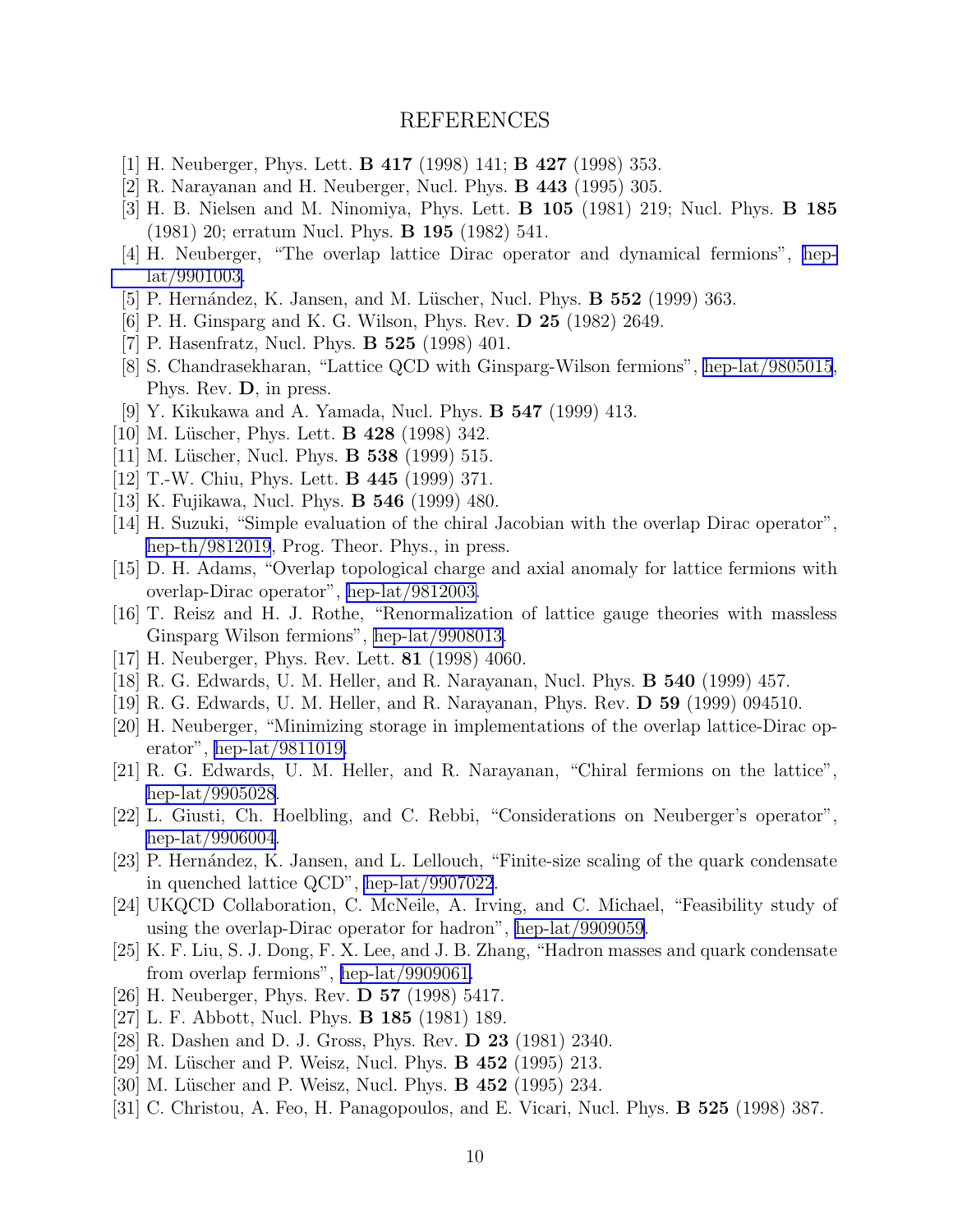### REFERENCES

- <span id="page-9-0"></span>[1] H. Neuberger, Phys. Lett. B 417 (1998) 141; B 427 (1998) 353.
- [2] R. Narayanan and H. Neuberger, Nucl. Phys. B 443 (1995) 305.
- [3] H. B. Nielsen and M. Ninomiya, Phys. Lett. B 105 (1981) 219; Nucl. Phys. B 185 (1981) 20; erratum Nucl. Phys. B 195 (1982) 541.
- [4] H. Neuberger, "The overlap lattice Dirac operator and dynamical fermions", [hep](http://arxiv.org/abs/hep-lat/9901003)[lat/9901003.](http://arxiv.org/abs/hep-lat/9901003)
- [5] P. Hernández, K. Jansen, and M. Lüscher, Nucl. Phys.  $\bf{B}$  552 (1999) 363.
- [6] P. H. Ginsparg and K. G. Wilson, Phys. Rev. D 25 (1982) 2649.
- [7] P. Hasenfratz, Nucl. Phys. B 525 (1998) 401.
- [8] S. Chandrasekharan, "Lattice QCD with Ginsparg-Wilson fermions", [hep-lat/9805015](http://arxiv.org/abs/hep-lat/9805015), Phys. Rev. D, in press.
- [9] Y. Kikukawa and A. Yamada, Nucl. Phys. B 547 (1999) 413.
- [10] M. Lüscher, Phys. Lett. **B 428** (1998) 342.
- [11] M. Lüscher, Nucl. Phys. **B 538** (1999) 515.
- [12] T.-W. Chiu, Phys. Lett. B 445 (1999) 371.
- [13] K. Fujikawa, Nucl. Phys. B 546 (1999) 480.
- [14] H. Suzuki, "Simple evaluation of the chiral Jacobian with the overlap Dirac operator", [hep-th/9812019](http://arxiv.org/abs/hep-th/9812019), Prog. Theor. Phys., in press.
- [15] D. H. Adams, "Overlap topological charge and axial anomaly for lattice fermions with overlap-Dirac operator", [hep-lat/9812003.](http://arxiv.org/abs/hep-lat/9812003)
- [16] T. Reisz and H. J. Rothe, "Renormalization of lattice gauge theories with massless Ginsparg Wilson fermions", [hep-lat/9908013.](http://arxiv.org/abs/hep-lat/9908013)
- [17] H. Neuberger, Phys. Rev. Lett. 81 (1998) 4060.
- [18] R. G. Edwards, U. M. Heller, and R. Narayanan, Nucl. Phys. B 540 (1999) 457.
- [19] R. G. Edwards, U. M. Heller, and R. Narayanan, Phys. Rev. D 59 (1999) 094510.
- [20] H. Neuberger, "Minimizing storage in implementations of the overlap lattice-Dirac operator", [hep-lat/9811019.](http://arxiv.org/abs/hep-lat/9811019)
- [21] R. G. Edwards, U. M. Heller, and R. Narayanan, "Chiral fermions on the lattice", [hep-lat/9905028](http://arxiv.org/abs/hep-lat/9905028).
- [22] L. Giusti, Ch. Hoelbling, and C. Rebbi, "Considerations on Neuberger's operator", [hep-lat/9906004](http://arxiv.org/abs/hep-lat/9906004).
- [23] P. Hernández, K. Jansen, and L. Lellouch, "Finite-size scaling of the quark condensate in quenched lattice QCD", [hep-lat/9907022](http://arxiv.org/abs/hep-lat/9907022).
- [24] UKQCD Collaboration, C. McNeile, A. Irving, and C. Michael, "Feasibility study of using the overlap-Dirac operator for hadron", [hep-lat/9909059](http://arxiv.org/abs/hep-lat/9909059).
- [25] K. F. Liu, S. J. Dong, F. X. Lee, and J. B. Zhang, "Hadron masses and quark condensate from overlap fermions", [hep-lat/9909061.](http://arxiv.org/abs/hep-lat/9909061)
- [26] H. Neuberger, Phys. Rev. D 57 (1998) 5417.
- [27] L. F. Abbott, Nucl. Phys. B 185 (1981) 189.
- [28] R. Dashen and D. J. Gross, Phys. Rev. D 23 (1981) 2340.
- [29] M. Lüscher and P. Weisz, Nucl. Phys. **B 452** (1995) 213.
- [30] M. Lüscher and P. Weisz, Nucl. Phys. **B 452** (1995) 234.
- [31] C. Christou, A. Feo, H. Panagopoulos, and E. Vicari, Nucl. Phys. B 525 (1998) 387.